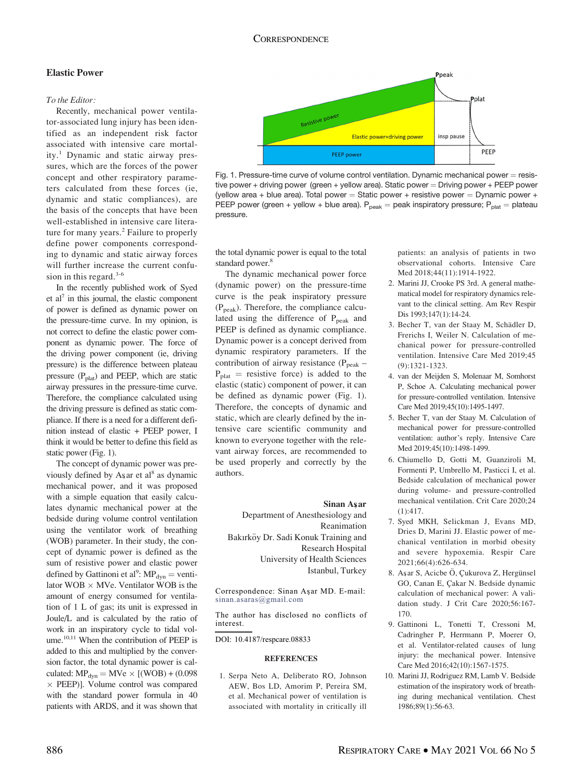## Elastic Power

#### To the Editor:

Recently, mechanical power ventilator-associated lung injury has been identified as an independent risk factor associated with intensive care mortality.<sup>1</sup> Dynamic and static airway pressures, which are the forces of the power concept and other respiratory parameters calculated from these forces (ie, dynamic and static compliances), are the basis of the concepts that have been well-established in intensive care literature for many years.<sup>2</sup> Failure to properly define power components corresponding to dynamic and static airway forces will further increase the current confusion in this regard. $3-6$ 

In the recently published work of Syed et al<sup>7</sup> in this journal, the elastic component of power is defined as dynamic power on the pressure-time curve. In my opinion, is not correct to define the elastic power component as dynamic power. The force of the driving power component (ie, driving pressure) is the difference between plateau pressure  $(P_{\text{plat}})$  and PEEP, which are static airway pressures in the pressure-time curve. Therefore, the compliance calculated using the driving pressure is defined as static compliance. If there is a need for a different definition instead of elastic + PEEP power, I think it would be better to define this field as static power (Fig. 1).

The concept of dynamic power was previously defined by As ar et al<sup>8</sup> as dynamic mechanical power, and it was proposed with a simple equation that easily calculates dynamic mechanical power at the bedside during volume control ventilation using the ventilator work of breathing (WOB) parameter. In their study, the concept of dynamic power is defined as the sum of resistive power and elastic power defined by Gattinoni et al<sup>9</sup>:  $MP_{dyn}$  = ventilator WOB  $\times$  MVe. Ventilator WOB is the amount of energy consumed for ventilation of 1 L of gas; its unit is expressed in Joule/L and is calculated by the ratio of work in an inspiratory cycle to tidal volume.<sup>10,11</sup> When the contribution of PEEP is added to this and multiplied by the conversion factor, the total dynamic power is calculated:  $MP_{dyn} = MVe \times [(WOB) + (0.098)]$ - PEEP)]. Volume control was compared with the standard power formula in 40 patients with ARDS, and it was shown that



Fig. 1. Pressure-time curve of volume control ventilation. Dynamic mechanical power  $=$  resistive power + driving power (green + yellow area). Static power = Driving power + PEEP power (yellow area + blue area). Total power = Static power + resistive power = Dynamic power + PEEP power (green + yellow + blue area).  $P_{peak}$  = peak inspiratory pressure;  $P_{plat}$  = plateau pressure.

the total dynamic power is equal to the total standard power.<sup>8</sup>

The dynamic mechanical power force (dynamic power) on the pressure-time curve is the peak inspiratory pressure  $(P_{peak})$ . Therefore, the compliance calculated using the difference of  $P_{peak}$  and PEEP is defined as dynamic compliance. Dynamic power is a concept derived from dynamic respiratory parameters. If the contribution of airway resistance ( $P_{peak}$  –  $P_{\text{plat}}$  = resistive force) is added to the elastic (static) component of power, it can be defined as dynamic power (Fig. 1). Therefore, the concepts of dynamic and static, which are clearly defined by the intensive care scientific community and known to everyone together with the relevant airway forces, are recommended to be used properly and correctly by the authors.

## Sinan Asar

Department of Anesthesiology and Reanimation Bakırköy Dr. Sadi Konuk Training and Research Hospital University of Health Sciences Istanbul, Turkey

Correspondence: Sinan Aşar MD. E-mail: [sinan.asaras@gmail.com](mailto:sinan.asaras@gmail.com)

The author has disclosed no conflicts of interest.

DOI: 10.4187/respcare.08833

#### **REFERENCES**

1. Serpa Neto A, Deliberato RO, Johnson AEW, Bos LD, Amorim P, Pereira SM, et al. Mechanical power of ventilation is associated with mortality in critically ill patients: an analysis of patients in two observational cohorts. Intensive Care Med 2018;44(11):1914-1922.

- 2. Marini JJ, Crooke PS 3rd. A general mathematical model for respiratory dynamics relevant to the clinical setting. Am Rev Respir Dis 1993;147(1):14-24.
- 3. Becher T, van der Staay M, Schädler D, Frerichs I, Weiler N. Calculation of mechanical power for pressure-controlled ventilation. Intensive Care Med 2019;45 (9):1321-1323.
- 4. van der Meijden S, Molenaar M, Somhorst P, Schoe A. Calculating mechanical power for pressure-controlled ventilation. Intensive Care Med 2019;45(10):1495-1497.
- 5. Becher T, van der Staay M. Calculation of mechanical power for pressure-controlled ventilation: author's reply. Intensive Care Med 2019;45(10):1498-1499.
- 6. Chiumello D, Gotti M, Guanziroli M, Formenti P, Umbrello M, Pasticci I, et al. Bedside calculation of mechanical power during volume- and pressure-controlled mechanical ventilation. Crit Care 2020;24 (1):417.
- 7. Syed MKH, Selickman J, Evans MD, Dries D, Marini JJ. Elastic power of mechanical ventilation in morbid obesity and severe hypoxemia. Respir Care 2021;66(4):626-634.
- 8. Aşar S, Acicbe Ö, Çukurova Z, Hergünsel GO, Canan E, Çakar N. Bedside dynamic calculation of mechanical power: A validation study. J Crit Care 2020;56:167- 170.
- 9. Gattinoni L, Tonetti T, Cressoni M, Cadringher P, Herrmann P, Moerer O, et al. Ventilator-related causes of lung injury: the mechanical power. Intensive Care Med 2016;42(10):1567-1575.
- 10. Marini JJ, Rodriguez RM, Lamb V. Bedside estimation of the inspiratory work of breathing during mechanical ventilation. Chest 1986;89(1):56-63.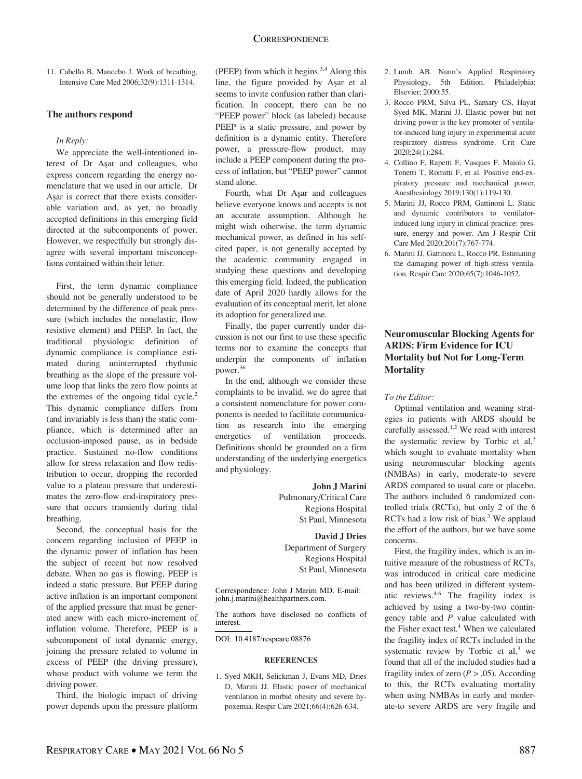Third, the biologic impact of driving power depends upon the pressure platform

Second, the conceptual basis for the concern regarding inclusion of PEEP in the dynamic power of inflation has been the subject of recent but now resolved debate. When no gas is flowing, PEEP is indeed a static pressure. But PEEP during active inflation is an important component of the applied pressure that must be generated anew with each micro-increment of inflation volume. Therefore, PEEP is a subcomponent of total dynamic energy,

11. Cabello B, Mancebo J. Work of breathing. Intensive Care Med 2006;32(9):1311-1314.

We appreciate the well-intentioned interest of Dr Asar and colleagues, who express concern regarding the energy nomenclature that we used in our article. Dr<br>Asar is correct that there exists consider-Asar is correct that there exists considerable variation and, as yet, no broadly accepted definitions in this emerging field directed at the subcomponents of power. However, we respectfully but strongly disagree with several important misconceptions contained within their letter.

First, the term dynamic compliance should not be generally understood to be determined by the difference of peak pressure (which includes the nonelastic, flow resistive element) and PEEP. In fact, the traditional physiologic definition of dynamic compliance is compliance estimated during uninterrupted rhythmic breathing as the slope of the pressure volume loop that links the zero flow points at the extremes of the ongoing tidal cycle. $2$ This dynamic compliance differs from (and invariably is less than) the static compliance, which is determined after an occlusion-imposed pause, as in bedside practice. Sustained no-flow conditions allow for stress relaxation and flow redistribution to occur, dropping the recorded value to a plateau pressure that underestimates the zero-flow end-inspiratory pressure that occurs transiently during tidal

The authors respond

In Reply:

breathing.

driving power.

(PEEP) from which it begins.<sup>3,4</sup> Along this line, the figure provided by Aşar et al seems to invite confusion rather than clarification. In concept, there can be no "PEEP power" block (as labeled) because PEEP is a static pressure, and power by definition is a dynamic entity. Therefore power, a pressure-flow product, may include a PEEP component during the process of inflation, but "PEEP power" cannot stand alone.

Fourth, what Dr Aşar and colleagues believe everyone knows and accepts is not an accurate assumption. Although he might wish otherwise, the term dynamic mechanical power, as defined in his selfcited paper, is not generally accepted by the academic community engaged in studying these questions and developing this emerging field. Indeed, the publication date of April 2020 hardly allows for the evaluation of its conceptual merit, let alone its adoption for generalized use.

Finally, the paper currently under discussion is not our first to use these specific terms nor to examine the concepts that underpin the components of inflation power.36

In the end, although we consider these complaints to be invalid, we do agree that a consistent nomenclature for power components is needed to facilitate communication as research into the emerging energetics of ventilation proceeds. Definitions should be grounded on a firm understanding of the underlying energetics and physiology.

> John J Marini Pulmonary/Critical Care Regions Hospital St Paul, Minnesota

David J Dries Department of Surgery Regions Hospital St Paul, Minnesota

Correspondence: John J Marini MD. E-mail: john.j.marini@healthpartners.com.

The authors have disclosed no conflicts of interest.

DOI: 10.4187/respcare.08876

### **REFERENCES**

1. Syed MKH, Selickman J, Evans MD, Dries D, Marini JJ. Elastic power of mechanical ventilation in morbid obesity and severe hypoxemia. Respir Care 2021;66(4):626-634.

- 2. Lumb AB. Nunn's Applied Respiratory Physiology, 5th Edition. Philadelphia: Elsevier; 2000:55.
- 3. Rocco PRM, Silva PL, Samary CS, Hayat Syed MK, Marini JJ. Elastic power but not driving power is the key promoter of ventilator-induced lung injury in experimental acute respiratory distress syndrome. Crit Care 2020;24(1):284.
- 4. Collino F, Rapetti F, Vasques F, Maiolo G, Tonetti T, Romitti F, et al. Positive end-expiratory pressure and mechanical power. Anesthesiology 2019;130(1):119-130.
- 5. Marini JJ, Rocco PRM, Gattinoni L. Static and dynamic contributors to ventilatorinduced lung injury in clinical practice: pressure, energy and power. Am J Respir Crit Care Med 2020;201(7):767-774.
- 6. Marini JJ, Gattinoni L, Rocco PR. Estimating the damaging power of high-stress ventilation. Respir Care 2020;65(7):1046-1052.

## Neuromuscular Blocking Agents for ARDS: Firm Evidence for ICU Mortality but Not for Long-Term **Mortality**

## To the Editor:

Optimal ventilation and weaning strategies in patients with ARDS should be carefully assessed.<sup>1,2</sup> We read with interest the systematic review by Torbic et al,<sup>3</sup> which sought to evaluate mortality when using neuromuscular blocking agents (NMBAs) in early, moderate-to severe ARDS compared to usual care or placebo. The authors included 6 randomized controlled trials (RCTs), but only 2 of the 6 RCTs had a low risk of bias. $3$  We applaud the effort of the authors, but we have some concerns.

First, the fragility index, which is an intuitive measure of the robustness of RCTs, was introduced in critical care medicine and has been utilized in different systematic reviews.4-6 The fragility index is achieved by using a two-by-two contingency table and  $P$  value calculated with the Fisher exact test.<sup>4</sup> When we calculated the fragility index of RCTs included in the systematic review by Torbic et al, $3$  we found that all of the included studies had a fragility index of zero  $(P > .05)$ . According to this, the RCTs evaluating mortality when using NMBAs in early and moderate-to severe ARDS are very fragile and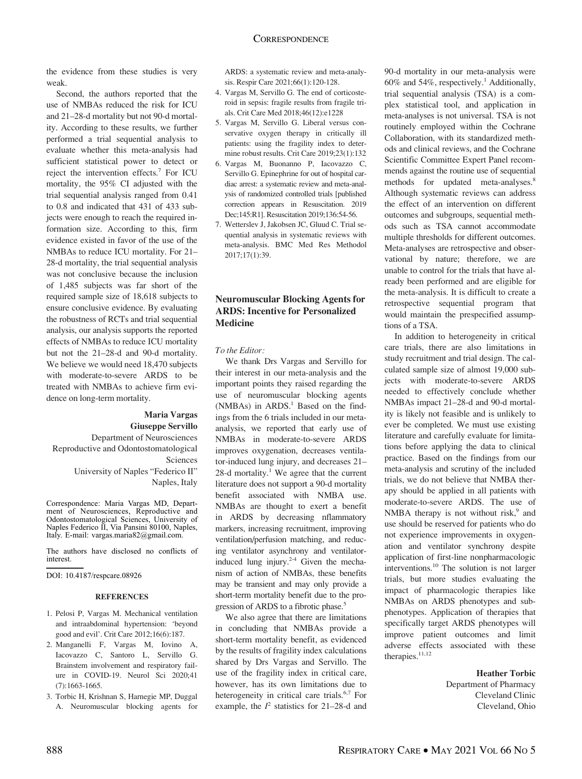the evidence from these studies is very weak.

Second, the authors reported that the use of NMBAs reduced the risk for ICU and 21–28-d mortality but not 90-d mortality. According to these results, we further performed a trial sequential analysis to evaluate whether this meta-analysis had sufficient statistical power to detect or reject the intervention effects.7 For ICU mortality, the 95% CI adjusted with the trial sequential analysis ranged from 0.41 to 0.8 and indicated that 431 of 433 subjects were enough to reach the required information size. According to this, firm evidence existed in favor of the use of the NMBAs to reduce ICU mortality. For 21– 28-d mortality, the trial sequential analysis was not conclusive because the inclusion of 1,485 subjects was far short of the required sample size of 18,618 subjects to ensure conclusive evidence. By evaluating the robustness of RCTs and trial sequential analysis, our analysis supports the reported effects of NMBAs to reduce ICU mortality but not the 21–28-d and 90-d mortality. We believe we would need 18,470 subjects with moderate-to-severe ARDS to be treated with NMBAs to achieve firm evidence on long-term mortality.

# Maria Vargas Giuseppe Servillo Department of Neurosciences Reproductive and Odontostomatological

Sciences University of Naples "Federico II" Naples, Italy

Correspondence: Maria Vargas MD, Department of Neurosciences, Reproductive and Odontostomatological Sciences, University of Naples Federico II, Via Pansini 80100, Naples, Italy. E-mail: vargas.maria82@gmail.com.

The authors have disclosed no conflicts of interest.

DOI: 10.4187/respcare.08926

### **REFERENCES**

- 1. Pelosi P, Vargas M. Mechanical ventilation and intraabdominal hypertension: 'beyond good and evil'. Crit Care 2012;16(6):187.
- 2. Manganelli F, Vargas M, Iovino A, Iacovazzo C, Santoro L, Servillo G. Brainstem involvement and respiratory failure in COVID-19. Neurol Sci 2020;41 (7):1663-1665.
- 3. Torbic H, Krishnan S, Harnegie MP, Duggal A. Neuromuscular blocking agents for

ARDS: a systematic review and meta-analysis. Respir Care 2021;66(1):120-128.

- 4. Vargas M, Servillo G. The end of corticosteroid in sepsis: fragile results from fragile trials. Crit Care Med 2018;46(12):e1228
- 5. Vargas M, Servillo G. Liberal versus conservative oxygen therapy in critically ill patients: using the fragility index to determine robust results. Crit Care 2019;23(1):132
- 6. Vargas M, Buonanno P, Iacovazzo C, Servillo G. Epinephrine for out of hospital cardiac arrest: a systematic review and meta-analysis of randomized controlled trials [published correction appears in Resuscitation. 2019 Dec;145:R1]. Resuscitation 2019;136:54-56.
- 7. Wetterslev J, Jakobsen JC, Gluud C. Trial sequential analysis in systematic reviews with meta-analysis. BMC Med Res Methodol 2017;17(1):39.

# Neuromuscular Blocking Agents for ARDS: Incentive for Personalized Medicine

### To the Editor:

We thank Drs Vargas and Servillo for their interest in our meta-analysis and the important points they raised regarding the use of neuromuscular blocking agents  $(NMBAs)$  in ARDS.<sup>1</sup> Based on the findings from the 6 trials included in our metaanalysis, we reported that early use of NMBAs in moderate-to-severe ARDS improves oxygenation, decreases ventilator-induced lung injury, and decreases 21–  $28$ -d mortality.<sup>1</sup> We agree that the current literature does not support a 90-d mortality benefit associated with NMBA use. NMBAs are thought to exert a benefit in ARDS by decreasing nflammatory markers, increasing recruitment, improving ventilation/perfusion matching, and reducing ventilator asynchrony and ventilatorinduced lung injury. $2-4$  Given the mechanism of action of NMBAs, these benefits may be transient and may only provide a short-term mortality benefit due to the progression of ARDS to a fibrotic phase.<sup>5</sup>

We also agree that there are limitations in concluding that NMBAs provide a short-term mortality benefit, as evidenced by the results of fragility index calculations shared by Drs Vargas and Servillo. The use of the fragility index in critical care, however, has its own limitations due to heterogeneity in critical care trials.<sup>6,7</sup> For example, the  $I^2$  statistics for 21-28-d and

90-d mortality in our meta-analysis were 60% and 54%, respectively.<sup>1</sup> Additionally, trial sequential analysis (TSA) is a complex statistical tool, and application in meta-analyses is not universal. TSA is not routinely employed within the Cochrane Collaboration, with its standardized methods and clinical reviews, and the Cochrane Scientific Committee Expert Panel recommends against the routine use of sequential methods for updated meta-analyses.<sup>8</sup> Although systematic reviews can address the effect of an intervention on different outcomes and subgroups, sequential methods such as TSA cannot accommodate multiple thresholds for different outcomes. Meta-analyses are retrospective and observational by nature; therefore, we are unable to control for the trials that have already been performed and are eligible for the meta-analysis. It is difficult to create a retrospective sequential program that would maintain the prespecified assumptions of a TSA.

In addition to heterogeneity in critical care trials, there are also limitations in study recruitment and trial design. The calculated sample size of almost 19,000 subjects with moderate-to-severe ARDS needed to effectively conclude whether NMBAs impact 21–28-d and 90-d mortality is likely not feasible and is unlikely to ever be completed. We must use existing literature and carefully evaluate for limitations before applying the data to clinical practice. Based on the findings from our meta-analysis and scrutiny of the included trials, we do not believe that NMBA therapy should be applied in all patients with moderate-to-severe ARDS. The use of NMBA therapy is not without risk, $9$  and use should be reserved for patients who do not experience improvements in oxygenation and ventilator synchrony despite application of first-line nonpharmacologic interventions.10 The solution is not larger trials, but more studies evaluating the impact of pharmacologic therapies like NMBAs on ARDS phenotypes and subphenotypes. Application of therapies that specifically target ARDS phenotypes will improve patient outcomes and limit adverse effects associated with these therapies.<sup>11,12</sup>

### Heather Torbic

Department of Pharmacy Cleveland Clinic Cleveland, Ohio